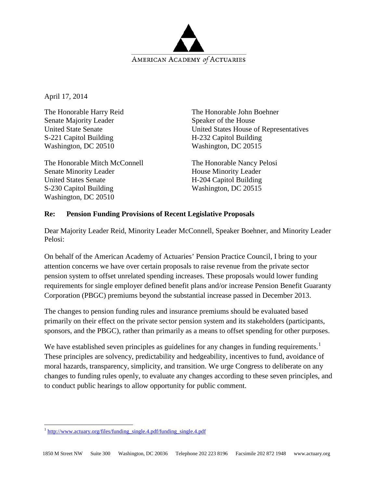

April 17, 2014

The Honorable Harry Reid Senate Majority Leader United State Senate S-221 Capitol Building Washington, DC 20510

The Honorable Mitch McConnell Senate Minority Leader United States Senate S-230 Capitol Building Washington, DC 20510

The Honorable John Boehner Speaker of the House United States House of Representatives H-232 Capitol Building Washington, DC 20515

The Honorable Nancy Pelosi House Minority Leader H-204 Capitol Building Washington, DC 20515

## **Re: Pension Funding Provisions of Recent Legislative Proposals**

Dear Majority Leader Reid, Minority Leader McConnell, Speaker Boehner, and Minority Leader Pelosi:

On behalf of the American Academy of Actuaries' Pension Practice Council, I bring to your attention concerns we have over certain proposals to raise revenue from the private sector pension system to offset unrelated spending increases. These proposals would lower funding requirements for single employer defined benefit plans and/or increase Pension Benefit Guaranty Corporation (PBGC) premiums beyond the substantial increase passed in December 2013.

The changes to pension funding rules and insurance premiums should be evaluated based primarily on their effect on the private sector pension system and its stakeholders (participants, sponsors, and the PBGC), rather than primarily as a means to offset spending for other purposes.

We have established seven principles as guidelines for any changes in funding requirements.<sup>[1](#page-0-0)</sup> These principles are solvency, predictability and hedgeability, incentives to fund, avoidance of moral hazards, transparency, simplicity, and transition. We urge Congress to deliberate on any changes to funding rules openly, to evaluate any changes according to these seven principles, and to conduct public hearings to allow opportunity for public comment.

<span id="page-0-0"></span>l <sup>1</sup> [http://www.actuary.org/files/funding\\_single.4.pdf/funding\\_single.4.pdf](http://www.actuary.org/files/funding_single.4.pdf/funding_single.4.pdf)